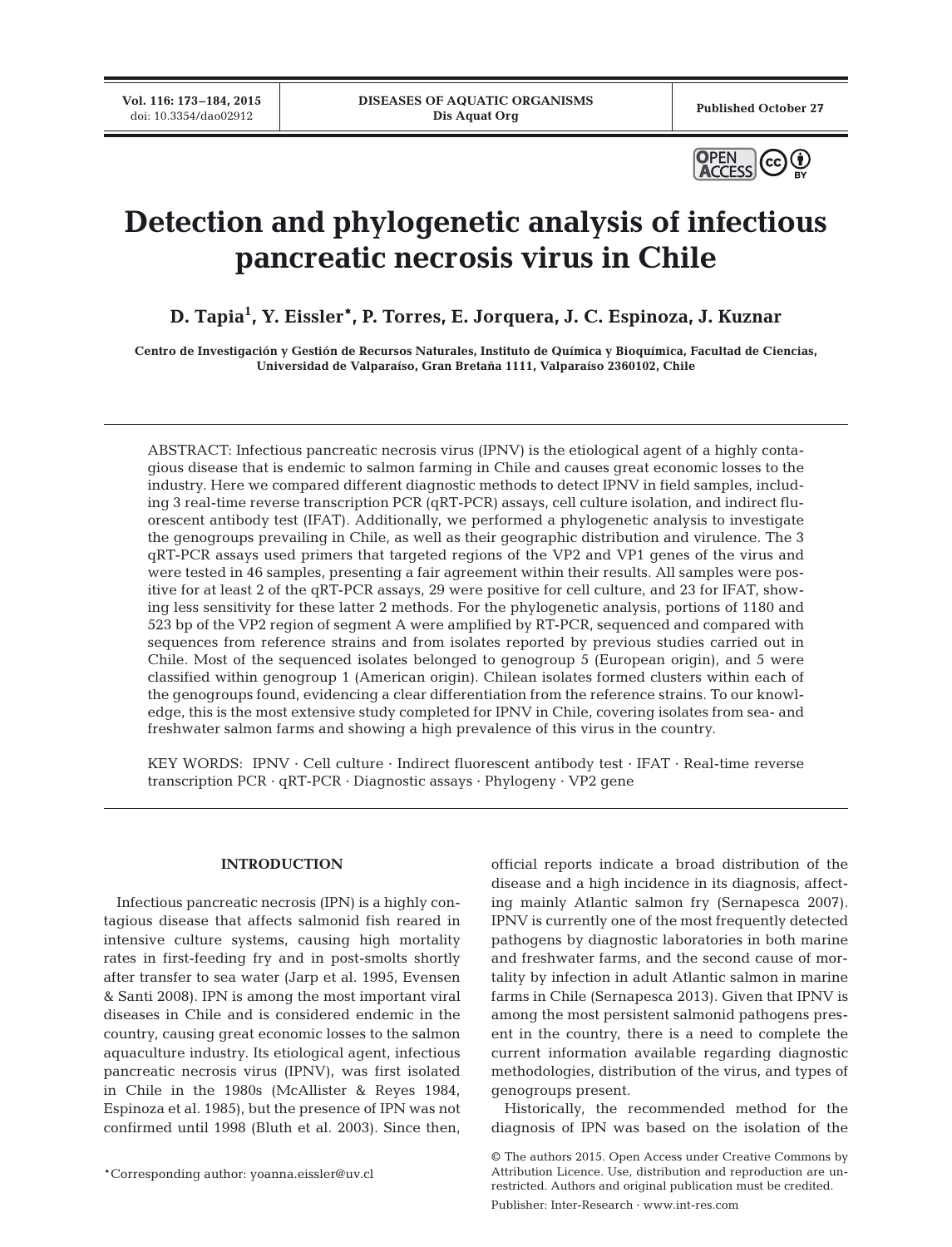**Vol. 116: 173–184, 2015**<br>doi: 10.3354/dao02912



# **Detection and phylogenetic analysis of infectious pancreatic necrosis virus in Chile**

**D. Tapia1 , Y. Eissler\*, P. Torres, E. Jorquera, J. C. Espinoza, J. Kuznar**

**Centro de Investigación y Gestión de Recursos Naturales, Instituto de Química y Bioquímica, Facultad de Ciencias, Universidad de Valparaíso, Gran Bretaña 1111, Valparaíso 2360102, Chile**

ABSTRACT: Infectious pancreatic necrosis virus (IPNV) is the etiological agent of a highly contagious disease that is endemic to salmon farming in Chile and causes great economic losses to the industry. Here we compared different diagnostic methods to detect IPNV in field samples, including 3 real-time reverse transcription PCR (qRT-PCR) assays, cell culture isolation, and indirect fluorescent antibody test (IFAT). Additionally, we performed a phylogenetic analysis to investigate the genogroups prevailing in Chile, as well as their geographic distribution and virulence. The 3 qRT-PCR assays used primers that targeted regions of the VP2 and VP1 genes of the virus and were tested in 46 samples, presenting a fair agreement within their results. All samples were positive for at least 2 of the qRT-PCR assays, 29 were positive for cell culture, and 23 for IFAT, showing less sensitivity for these latter 2 methods. For the phylogenetic analysis, portions of 1180 and 523 bp of the VP2 region of segment A were amplified by RT-PCR, sequenced and compared with sequences from reference strains and from isolates reported by previous studies carried out in Chile. Most of the sequenced isolates belonged to genogroup 5 (European origin), and 5 were classified within genogroup 1 (American origin). Chilean isolates formed clusters within each of the genogroups found, evidencing a clear differentiation from the reference strains. To our knowledge, this is the most extensive study completed for IPNV in Chile, covering isolates from sea- and freshwater salmon farms and showing a high prevalence of this virus in the country.

KEY WORDS: IPNV · Cell culture · Indirect fluorescent antibody test · IFAT · Real-time reverse transcription PCR · qRT-PCR · Diagnostic assays · Phylogeny · VP2 gene

## **INTRODUCTION**

Infectious pancreatic necrosis (IPN) is a highly contagious disease that affects salmonid fish reared in intensive culture systems, causing high mortality rates in first-feeding fry and in post-smolts shortly after transfer to sea water (Jarp et al. 1995, Evensen & Santi 2008). IPN is among the most important viral diseases in Chile and is considered endemic in the country, causing great economic losses to the salmon aquaculture industry. Its etiological agent, infectious pancreatic necrosis virus (IPNV), was first isolated in Chile in the 1980s (McAllister & Reyes 1984, Espinoza et al. 1985), but the presence of IPN was not confirmed until 1998 (Bluth et al. 2003). Since then,

official reports indicate a broad distribution of the disease and a high incidence in its diagnosis, affecting mainly Atlantic salmon fry (Sernapesca 2007). IPNV is currently one of the most frequently detected pathogens by diagnostic laboratories in both marine and freshwater farms, and the second cause of mortality by infection in adult Atlantic salmon in marine farms in Chile (Sernapesca 2013). Given that IPNV is among the most persistent salmonid pathogens present in the country, there is a need to complete the current information available regarding diagnostic methodologies, distribution of the virus, and types of genogroups present.

Historically, the recommended method for the diagnosis of IPN was based on the isolation of the

Publisher: Inter-Research · www.int-res.com

<sup>©</sup> The authors 2015. Open Access under Creative Commons by Attribution Licence. Use, distribution and reproduction are unrestricted. Authors and original publication must be credited.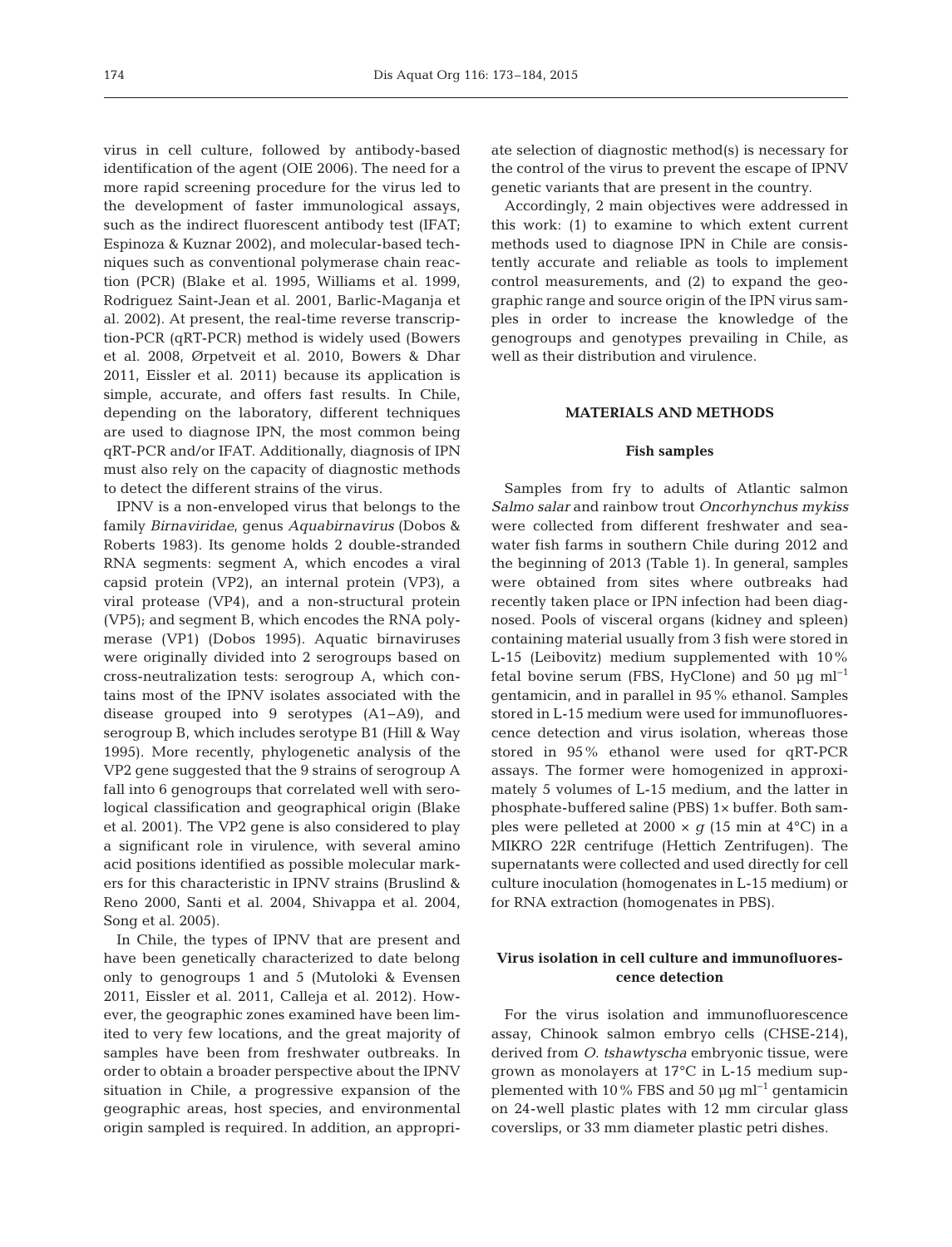virus in cell culture, followed by antibody-based identification of the agent (OIE 2006). The need for a more rapid screening procedure for the virus led to the development of faster immunological assays, such as the indirect fluorescent antibody test (IFAT; Espinoza & Kuznar 2002), and molecular-based techniques such as conventional polymerase chain reaction (PCR) (Blake et al. 1995, Williams et al. 1999, Rodriguez Saint-Jean et al. 2001, Barlic-Maganja et al. 2002). At present, the real-time reverse transcription-PCR (qRT-PCR) method is widely used (Bowers et al. 2008, Ørpetveit et al. 2010, Bowers & Dhar 2011, Eissler et al. 2011) because its application is simple, accurate, and offers fast results. In Chile, depending on the laboratory, different techniques are used to diagnose IPN, the most common being qRT-PCR and/or IFAT. Additionally, diagnosis of IPN must also rely on the capacity of diagnostic methods to detect the different strains of the virus.

IPNV is a non-enveloped virus that belongs to the family *Birnaviridae*, genus *Aquabirnavirus* (Dobos & Roberts 1983). Its genome holds 2 double-stranded RNA segments: segment A, which encodes a viral capsid protein (VP2), an internal protein (VP3), a viral protease (VP4), and a non-structural protein (VP5); and segment B, which encodes the RNA polymerase (VP1) (Dobos 1995). Aquatic birnaviruses were originally divided into 2 serogroups based on cross-neutralization tests: serogroup A, which contains most of the IPNV isolates associated with the disease grouped into 9 serotypes (A1−A9), and serogroup B, which includes serotype B1 (Hill & Way 1995). More recently, phylogenetic analysis of the VP2 gene suggested that the 9 strains of serogroup A fall into 6 genogroups that correlated well with serological classification and geographical origin (Blake et al. 2001). The VP2 gene is also considered to play a significant role in virulence, with several amino acid positions identified as possible molecular markers for this characteristic in IPNV strains (Bruslind & Reno 2000, Santi et al. 2004, Shivappa et al. 2004, Song et al. 2005).

In Chile, the types of IPNV that are present and have been genetically characterized to date belong only to genogroups 1 and 5 (Mutoloki & Evensen 2011, Eissler et al. 2011, Calleja et al. 2012). However, the geographic zones examined have been limited to very few locations, and the great majority of samples have been from freshwater outbreaks. In order to obtain a broader perspective about the IPNV situation in Chile, a progressive expansion of the geographic areas, host species, and environmental origin sampled is required. In addition, an appropriate selection of diagnostic method(s) is necessary for the control of the virus to prevent the escape of IPNV genetic variants that are present in the country.

Accordingly, 2 main objectives were addressed in this work: (1) to examine to which extent current methods used to diagnose IPN in Chile are consistently accurate and reliable as tools to implement control measurements, and (2) to expand the geographic range and source origin of the IPN virus samples in order to increase the knowledge of the genogroups and genotypes prevailing in Chile, as well as their distribution and virulence.

## **MATERIALS AND METHODS**

## **Fish samples**

Samples from fry to adults of Atlantic salmon *Salmo salar* and rainbow trout *Oncorhynchus mykiss* were collected from different freshwater and seawater fish farms in southern Chile during 2012 and the beginning of 2013 (Table 1). In general, samples were obtained from sites where outbreaks had recently taken place or IPN infection had been diagnosed. Pools of visceral organs (kidney and spleen) containing material usually from 3 fish were stored in L-15 (Leibovitz) medium supplemented with 10% fetal bovine serum (FBS, HyClone) and 50  $\mu$ q ml<sup>-1</sup> gentamicin, and in parallel in 95% ethanol. Samples stored in L-15 medium were used for immunofluorescence detection and virus isolation, whereas those stored in 95% ethanol were used for qRT-PCR assays. The former were homogenized in approximately 5 volumes of L-15 medium, and the latter in phosphate-buffered saline (PBS) 1× buffer. Both samples were pelleted at 2000  $\times$  *g* (15 min at 4°C) in a MIKRO 22R centrifuge (Hettich Zentrifugen). The supernatants were collected and used directly for cell culture inoculation (homogenates in L-15 medium) or for RNA extraction (homogenates in PBS).

# **Virus isolation in cell culture and immunofluorescence detection**

For the virus isolation and immunofluorescence assay, Chinook salmon embryo cells (CHSE-214), derived from *O. tshawtyscha* embryonic tissue, were grown as monolayers at 17°C in L-15 medium supplemented with 10% FBS and 50 µg ml−1 gentamicin on 24-well plastic plates with 12 mm circular glass coverslips, or 33 mm diameter plastic petri dishes.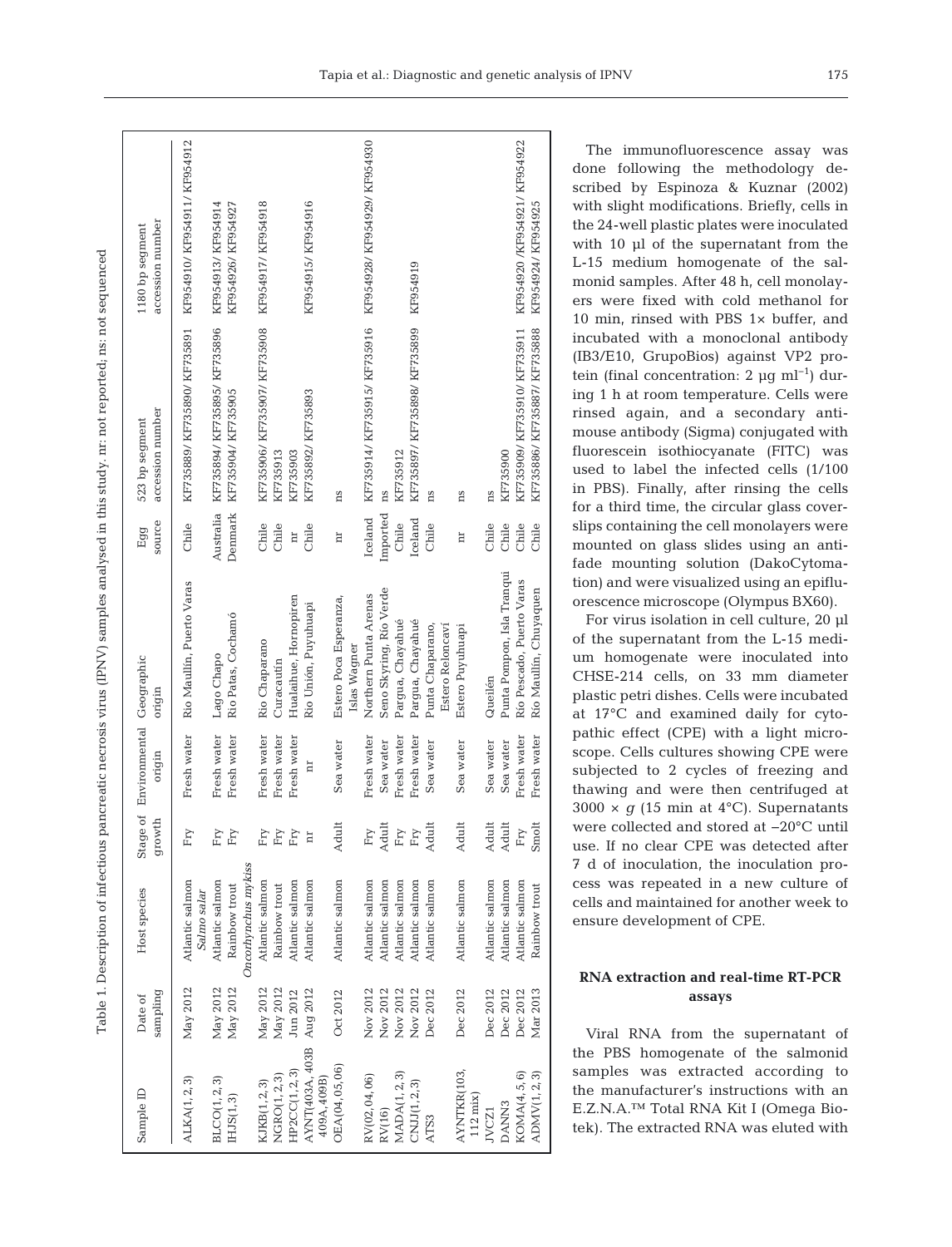|   | ś                                                                                                               |
|---|-----------------------------------------------------------------------------------------------------------------|
|   | .<br>Constant                                                                                                   |
|   | l                                                                                                               |
|   |                                                                                                                 |
|   |                                                                                                                 |
|   |                                                                                                                 |
|   | i<br>j                                                                                                          |
|   | I                                                                                                               |
|   | S<br>S<br>l                                                                                                     |
|   | j<br>₹<br>l                                                                                                     |
|   | ----<br>1                                                                                                       |
|   | į                                                                                                               |
|   |                                                                                                                 |
|   | j                                                                                                               |
|   | :<br>$\mathbf{I}$                                                                                               |
|   | j<br>Ş                                                                                                          |
|   | <br> <br> <br>                                                                                                  |
|   | i<br>Historia<br>l<br>$\frac{1}{2}$                                                                             |
|   | j<br>$\overline{\phantom{a}}$                                                                                   |
|   | )<br>2                                                                                                          |
|   | j<br>i<br>ì<br>j                                                                                                |
|   |                                                                                                                 |
|   |                                                                                                                 |
| ļ |                                                                                                                 |
|   | $\ddot{\phantom{a}}$<br>ì<br>ׇ֖֖֖֢ׅ֧֪֧֧֪ׅ֪֪֪ׅ֪֪ׅ֪֪֪֪֪ׅ֧֚֚֚֚֚֚֚֚֚֚֚֚֚֚֚֚֚֚֚֚֚֚֚֚֚֚֚֡֝֝֟֓֡֡֓֡֞֡֡֡֬֓֞֡֡֬֝֬֓֞֡֓֞֡֡֡ |
|   | くりょう<br>֦֧֖֖֧֧֧֧֧֧֧֧֧֪֧֪֧֧֧֧֪֧֚֚֚֚֚֚֚֚֚֚֚֚֚֚֚֚֚֝֝֝֝֬֝֬֝֬֝֬֝֬֝֬֝֬֓֝֬֓֝֬֝֬֝֬֝֬֝֬֝֬֝֬֝֬֝֬֝֬֝֬                      |
|   | í<br>ĭ<br>ï                                                                                                     |
|   | j<br>١                                                                                                          |
|   | .<br>.<br>.<br>۱<br>l                                                                                           |
|   | į                                                                                                               |
|   | Ś<br>Ó                                                                                                          |
|   | ţ                                                                                                               |
|   |                                                                                                                 |
|   | j                                                                                                               |
| i | J                                                                                                               |
|   | i<br>j<br>ł                                                                                                     |
|   |                                                                                                                 |
|   |                                                                                                                 |
|   | ļ<br>l<br>i                                                                                                     |
|   | i<br>١                                                                                                          |
| ļ | I<br>į                                                                                                          |
|   | ļ<br>Í<br>⋚<br>į<br>ಸ                                                                                           |

nced

| Sample ID                        | pampling<br>Date of | Host species                   | Stage of<br>growth | Environmental Geographic<br>origin | origin                               | source<br>Egg           | accession number<br>523 bp segment | accession number<br>1180 bp segment |  |
|----------------------------------|---------------------|--------------------------------|--------------------|------------------------------------|--------------------------------------|-------------------------|------------------------------------|-------------------------------------|--|
| ALKA(1, 2, 3)                    | May 2012            | Atlantic salmon<br>Salmo salar | Fry                | Fresh water                        | Rio Maullín, Puerto Varas            | Chile                   | KF735889/KF735890/KF735891         | KF954910/KF954911/KF954912          |  |
| BLCO(1, 2, 3)                    | May 2012            | Atlantic salmon                | Fry                | Fresh water                        | Lago Chapo                           | Australia               | KF735894/KF735895/KF735896         | KF954913/KF954914                   |  |
| $\text{HJS}(1,3)$                | May 2012            | Rainbow trout                  | Fry                | Fresh water                        | Rio Patas, Cochamó                   | Denmark                 | KF735904/KF735905                  | KF954926/KF954927                   |  |
|                                  |                     | Oncorhynchus mykiss            |                    |                                    |                                      |                         |                                    |                                     |  |
| KJKB(1, 2, 3)                    | May 2012            | Atlantic salmon                | Fry                | Fresh water                        | Rio Chaparano                        | Chile                   | KF735906/KF735907/KF735908         | KF954917/KF954918                   |  |
| NGRO(1, 2, 3)                    | May 2012            | Rainbow trout                  | $\rm{Fry}$         | Fresh water                        | Curacautín                           | Chile                   | KF735913                           |                                     |  |
| HP2CC(1, 2, 3)                   | Jun 2012            | Atlantic salmon                | Fry                | Fresh water                        | Hualaihue, Hornopiren                | $\overline{\mathbf{u}}$ | KF735903                           |                                     |  |
| AYNT(403A, 403B<br>409A, 409B)   | Aug 2012            | Atlantic salmon                | Ħ                  | Ħ                                  | Rio Unión, Puyuhuapi                 | Chile                   | KF735892/KF735893                  | KF954915/KF954916                   |  |
| OEA(04,05,06)                    | Oct 2012            | Atlantic salmon                | Adult              | Sea water                          | Estero Poca Esperanza,               | h                       | ns                                 |                                     |  |
|                                  |                     |                                |                    |                                    | Islas Wagner                         |                         |                                    |                                     |  |
| RV(02,04,06)                     | Nov 2012            | Atlantic salmon                | Fry                | Fresh water                        | Northern Punta Arenas                | Iceland                 | KF735914/KF735915/KF735916         | KF954928/KF954929/KF954930          |  |
| RV(16)                           | Nov 2012            | Atlantic salmon                | Adult              | Sea water                          | Seno Skyring, Río Verde              | Imported                | ns                                 |                                     |  |
| MADA(1,2,3)                      | Nov 2012            | Atlantic salmon                | Fry                | Fresh water                        | Pargua, Chayahué                     | Chile                   | KF735912                           |                                     |  |
| CNJ1(1,2,3)                      | Nov 2012            | Atlantic salmon                | Fry                | Fresh water                        | Pargua, Chayahué                     | Iceland                 | KF735897/KF735898/KF735899         | KF954919                            |  |
| ATS3                             | Dec 2012            | Atlantic salmon                | Adult              | Sea water                          | Punta Chaparano,<br>Estero Reloncaví | Chile                   | ns                                 |                                     |  |
| AYNTKR(103,<br>$112 \text{ mix}$ | Dec 2012            | Atlantic salmon                | Adult              | Sea water                          | Estero Puyuhuapi                     | E                       | ns                                 |                                     |  |
| JVCZ1                            | Dec 2012            | Atlantic salmon                | Adult              | Sea water                          | Queilén                              | Chile                   | ns                                 |                                     |  |
| DANN <sub>3</sub>                | Dec 2012            | Atlantic salmon                | Adult              | Sea water                          | Punta Pompon, Isla Tranqui           | Chile                   | KF735900                           |                                     |  |
| KOMA(4,5,6)                      | Dec 2012            | Atlantic salmon                | Fry                | Fresh water                        | Río Pescado, Puerto Varas            | Chile                   | KF735909/KF735910/KF735911         | KF954920 /KF954921/KF954922         |  |
| ADMV(1,2,3)                      | Mar 2013            | Rainbow trout                  | Smolt              | Fresh water                        | Río Maullín, Chuyaquen               | Chile                   | KF735886/KF735887/KF735888         | KF954924/KF954925                   |  |
|                                  |                     |                                |                    |                                    |                                      |                         |                                    |                                     |  |

The immunofluorescence assay was done following the methodology described by Espinoza & Kuznar (2002) with slight modifications. Briefly, cells in the 24-well plastic plates were inoculated with 10 µl of the supernatant from the L-15 medium homogenate of the salmonid samples. After 48 h, cell monolayers were fixed with cold methanol for 10 min, rinsed with PBS 1× buffer, and incubated with a monoclonal antibody (IB3/E10, GrupoBios) against VP2 protein (final concentration: 2 µg ml<sup>-1</sup>) during 1 h at room temperature. Cells were rinsed again, and a secondary antimouse antibody (Sigma) conjugated with fluorescein isothiocyanate (FITC) was used to label the infected cells (1/100 in PBS). Finally, after rinsing the cells for a third time, the circular glass coverslips containing the cell monolayers were mounted on glass slides using an antifade mounting solution (DakoCytomation) and were visualized using an epifluorescence microscope (Olympus BX60).

For virus isolation in cell culture, 20 µl of the supernatant from the L-15 medium homogenate were inoculated into CHSE-214 cells, on 33 mm diameter plastic petri dishes. Cells were incubated at 17°C and examined daily for cytopathic effect (CPE) with a light microscope. Cells cultures showing CPE were subjected to 2 cycles of freezing and thawing and were then centrifuged at  $3000 \times g$  (15 min at 4°C). Supernatants were collected and stored at −20°C until use. If no clear CPE was detected after 7 d of inoculation, the inoculation process was repeated in a new culture of cells and maintained for another week to ensure development of CPE.

# **RNA extraction and real-time RT-PCR assays**

Viral RNA from the supernatant of the PBS homogenate of the salmonid samples was extracted according to the manufacturer's instructions with an E.Z.N.A.™ Total RNA Kit I (Omega Biotek). The extracted RNA was eluted with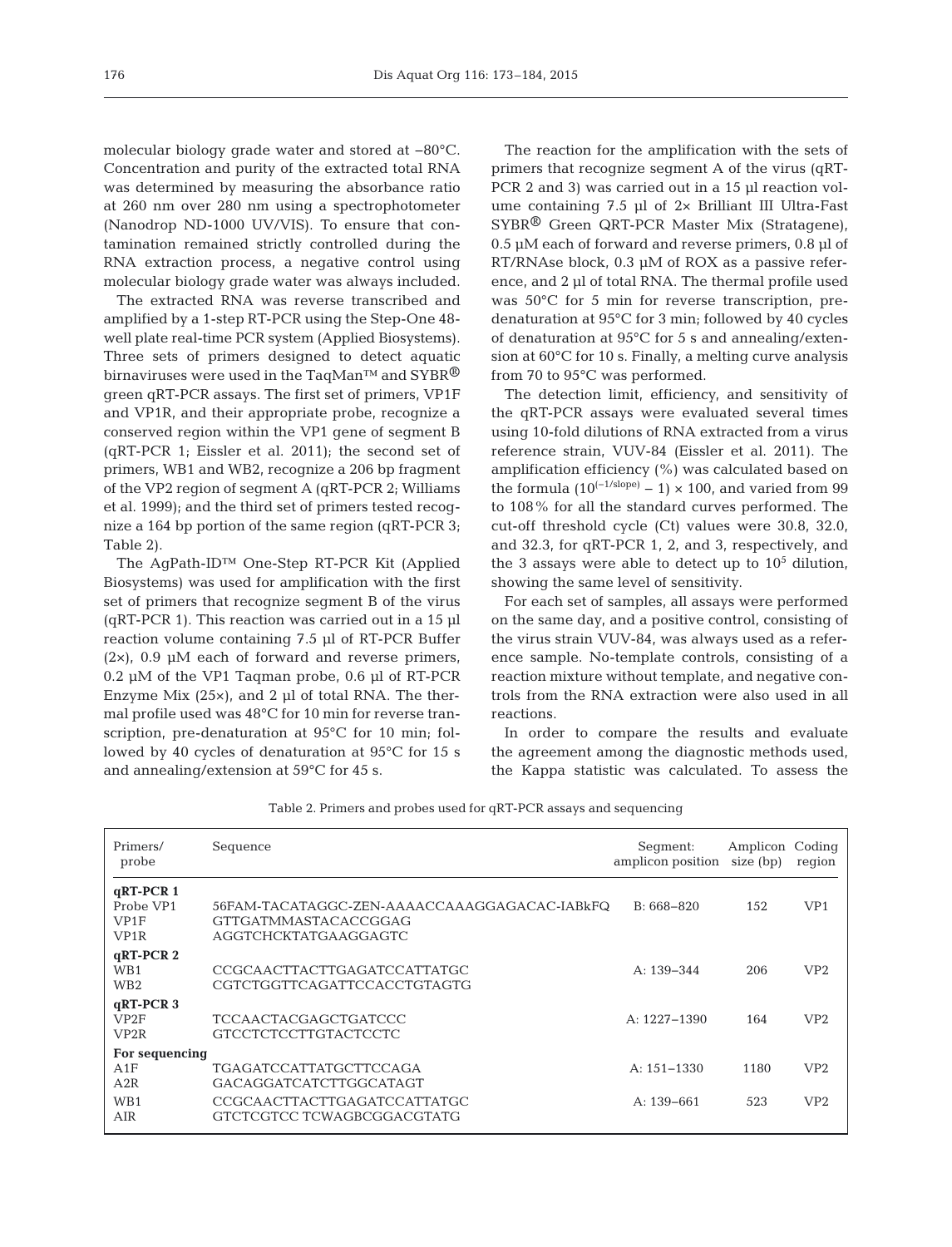molecular biology grade water and stored at −80°C. Concentration and purity of the extracted total RNA was determined by measuring the absorbance ratio at 260 nm over 280 nm using a spectrophotometer (Nanodrop ND-1000 UV/VIS). To ensure that contamination remained strictly controlled during the RNA extraction process, a negative control using molecular biology grade water was always included.

The extracted RNA was reverse transcribed and amplified by a 1-step RT-PCR using the Step-One 48 well plate real-time PCR system (Applied Biosystems). Three sets of primers designed to detect aquatic birnaviruses were used in the TaqMan™ and SYBR<sup>®</sup> green qRT-PCR assays. The first set of primers, VP1F and VP1R, and their appropriate probe, recognize a conserved region within the VP1 gene of segment B (qRT-PCR 1; Eissler et al. 2011); the second set of primers, WB1 and WB2, recognize a 206 bp fragment of the VP2 region of segment A (qRT-PCR 2; Williams et al. 1999); and the third set of primers tested recognize a 164 bp portion of the same region (qRT-PCR 3; Table 2).

The AgPath-ID™ One-Step RT-PCR Kit (Applied Biosystems) was used for amplification with the first set of primers that recognize segment B of the virus ( $qRT-PCR$  1). This reaction was carried out in a 15  $\mu$ l reaction volume containing 7.5 µl of RT-PCR Buffer  $(2\times)$ , 0.9 µM each of forward and reverse primers, 0.2 µM of the VP1 Taqman probe, 0.6 µl of RT-PCR Enzyme Mix  $(25x)$ , and 2 µl of total RNA. The thermal profile used was 48°C for 10 min for reverse transcription, pre-denaturation at 95°C for 10 min; followed by 40 cycles of denaturation at 95°C for 15 s and annealing/extension at 59°C for 45 s.

The reaction for the amplification with the sets of primers that recognize segment A of the virus (qRT-PCR 2 and 3) was carried out in a 15 µl reaction volume containing 7.5 µl of 2× Brilliant III Ultra-Fast SYBR® Green QRT-PCR Master Mix (Stratagene), 0.5 µM each of forward and reverse primers, 0.8 µl of RT/RNAse block, 0.3 µM of ROX as a passive reference, and 2 µl of total RNA. The thermal profile used was 50°C for 5 min for reverse transcription, predenaturation at 95°C for 3 min; followed by 40 cycles of denaturation at 95°C for 5 s and annealing/extension at 60°C for 10 s. Finally, a melting curve analysis from 70 to 95°C was performed.

The detection limit, efficiency, and sensitivity of the qRT-PCR assays were evaluated several times using 10-fold dilutions of RNA extracted from a virus reference strain, VUV-84 (Eissler et al. 2011). The amplification efficiency (%) was calculated based on the formula  $(10^{(-1/\text{slope})} - 1) \times 100$ , and varied from 99 to 108% for all the standard curves performed. The cut-off threshold cycle (Ct) values were 30.8, 32.0, and 32.3, for qRT-PCR 1, 2, and 3, respectively, and the 3 assays were able to detect up to  $10<sup>5</sup>$  dilution, showing the same level of sensitivity.

For each set of samples, all assays were performed on the same day, and a positive control, consisting of the virus strain VUV-84, was always used as a reference sample. No-template controls, consisting of a reaction mixture without template, and negative controls from the RNA extraction were also used in all reactions.

In order to compare the results and evaluate the agreement among the diagnostic methods used, the Kappa statistic was calculated. To assess the

| Primers/<br>probe                                     | Sequence                                                                                            | Segment:<br>amplicon position | Amplicon Coding<br>size (bp) | region          |
|-------------------------------------------------------|-----------------------------------------------------------------------------------------------------|-------------------------------|------------------------------|-----------------|
| $qRT-PCR$ 1<br>Probe VP1<br>VP1F<br>VP <sub>1</sub> R | 56FAM-TACATAGGC-ZEN-AAAACCAAAGGAGACAC-IABkFQ<br><b>GTTGATMMASTACACCGGAG</b><br>AGGTCHCKTATGAAGGAGTC | $B: 668 - 820$                | 152                          | VP <sub>1</sub> |
| $qRT-PCR$ 2<br>WB1<br>WB <sub>2</sub>                 | CCGCAACTTACTTGAGATCCATTATGC<br>CGTCTGGTTCAGATTCCACCTGTAGTG                                          | A: $139 - 344$                | 206                          | VP <sub>2</sub> |
| $qRT-PCR$ 3<br>VP <sub>2</sub> F<br>VP <sub>2</sub> R | TCCAACTACGAGCTGATCCC<br><b>GTCCTCTCCTTGTACTCCTC</b>                                                 | $A: 1227 - 1390$              | 164                          | VP2             |
| For sequencing<br>A1F<br>A2R                          | <b>TGAGATCCATTATGCTTCCAGA</b><br>GACAGGATCATCTTGGCATAGT                                             | $A: 151 - 1330$               | 1180                         | VP2             |
| WB1<br>AIR                                            | CCGCAACTTACTTGAGATCCATTATGC<br>GTCTCGTCC TCWAGBCGGACGTATG                                           | $A: 139 - 661$                | 523                          | VP2             |

Table 2. Primers and probes used for qRT-PCR assays and sequencing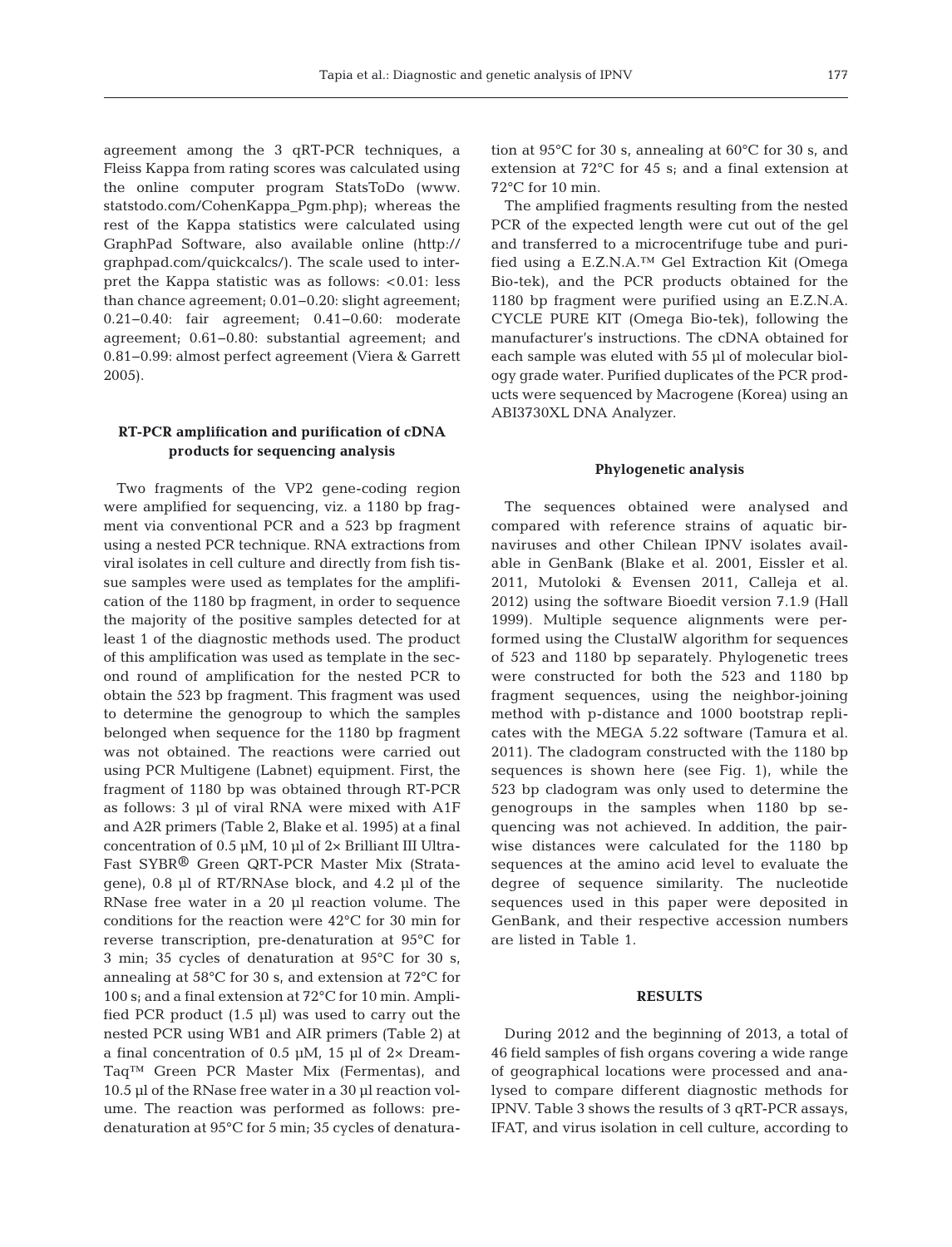agreement among the 3 qRT-PCR techniques, a Fleiss Kappa from rating scores was calculated using the online computer program StatsToDo (www. statstodo. com/CohenKappa\_Pgm.php); whereas the rest of the Kappa statistics were calculated using GraphPad Software, also available online (http:// graphpad.com/quickcalcs/). The scale used to interpret the Kappa statistic was as follows: <0.01: less than chance agreement; 0.01−0.20: slight agreement; 0.21−0.40: fair agreement; 0.41−0.60: moderate agreement; 0.61−0.80: substantial agreement; and 0.81−0.99: almost perfect agreement (Viera & Garrett 2005).

# **RT-PCR amplification and purification of cDNA products for sequencing analysis**

Two fragments of the VP2 gene-coding region were amplified for sequencing, viz. a 1180 bp fragment via conventional PCR and a 523 bp fragment using a nested PCR technique. RNA extractions from viral isolates in cell culture and directly from fish tissue samples were used as templates for the amplification of the 1180 bp fragment, in order to sequence the majority of the positive samples detected for at least 1 of the diagnostic methods used. The product of this amplification was used as template in the second round of amplification for the nested PCR to obtain the 523 bp fragment. This fragment was used to determine the genogroup to which the samples belonged when sequence for the 1180 bp fragment was not obtained. The reactions were carried out using PCR Multigene (Labnet) equipment. First, the fragment of 1180 bp was obtained through RT-PCR as follows: 3 µl of viral RNA were mixed with A1F and A2R primers (Table 2, Blake et al. 1995) at a final concentration of  $0.5 \mu M$ ,  $10 \mu$  of  $2 \times$  Brilliant III Ultra-Fast SYBR® Green QRT-PCR Master Mix (Stratagene), 0.8 µl of RT/RNAse block, and 4.2 µl of the RNase free water in a 20 µl reaction volume. The conditions for the reaction were 42°C for 30 min for reverse transcription, pre-denaturation at 95°C for 3 min; 35 cycles of denaturation at 95°C for 30 s, annealing at 58°C for 30 s, and extension at 72°C for 100 s; and a final extension at 72°C for 10 min. Amplified PCR product (1.5 µl) was used to carry out the nested PCR using WB1 and AIR primers (Table 2) at a final concentration of 0.5 µM, 15 µl of 2× Dream-Taq™ Green PCR Master Mix (Fermentas), and 10.5 µl of the RNase free water in a 30 µl reaction volume. The reaction was performed as follows: predenaturation at 95°C for 5 min; 35 cycles of denaturation at 95°C for 30 s, annealing at 60°C for 30 s, and extension at 72°C for 45 s; and a final extension at 72°C for 10 min.

The amplified fragments resulting from the nested PCR of the expected length were cut out of the gel and transferred to a microcentrifuge tube and purified using a E.Z.N.A.™ Gel Extraction Kit (Omega Bio-tek), and the PCR products obtained for the 1180 bp fragment were purified using an E.Z.N.A. CYCLE PURE KIT (Omega Bio-tek), following the manufacturer's instructions. The cDNA obtained for each sample was eluted with 55 µl of molecular biology grade water. Purified duplicates of the PCR products were sequenced by Macrogene (Korea) using an ABI3730XL DNA Analyzer.

#### **Phylogenetic analysis**

The sequences obtained were analysed and compared with reference strains of aquatic birnaviruses and other Chilean IPNV isolates available in GenBank (Blake et al. 2001, Eissler et al. 2011, Mutoloki & Evensen 2011, Calleja et al. 2012) using the software Bioedit version 7.1.9 (Hall 1999). Multiple sequence alignments were performed using the ClustalW algorithm for sequences of 523 and 1180 bp separately. Phylogenetic trees were constructed for both the 523 and 1180 bp fragment sequences, using the neighbor-joining method with p-distance and 1000 bootstrap replicates with the MEGA 5.22 software (Tamura et al. 2011). The cladogram constructed with the 1180 bp sequences is shown here (see Fig. 1), while the 523 bp cladogram was only used to determine the genogroups in the samples when 1180 bp se quencing was not achieved. In addition, the pairwise distances were calculated for the 1180 bp sequences at the amino acid level to evaluate the degree of sequence similarity. The nucleotide sequences used in this paper were deposited in GenBank, and their respective accession numbers are listed in Table 1.

## **RESULTS**

During 2012 and the beginning of 2013, a total of 46 field samples of fish organs covering a wide range of geographical locations were processed and analysed to compare different diagnostic methods for IPNV. Table 3 shows the results of 3 qRT-PCR assays, IFAT, and virus isolation in cell culture, according to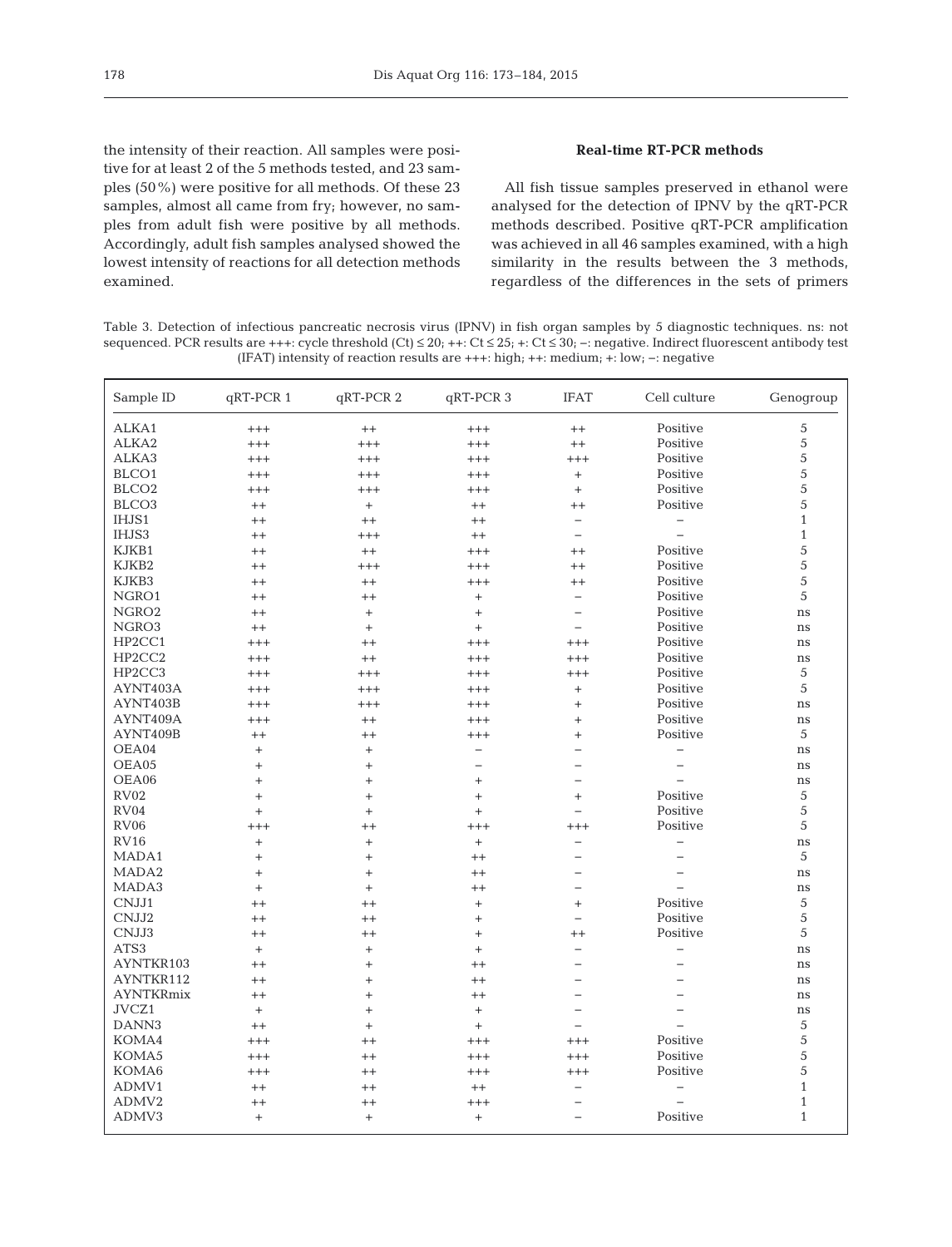the intensity of their reaction. All samples were positive for at least 2 of the 5 methods tested, and 23 samples (50%) were positive for all methods. Of these 23 samples, almost all came from fry; however, no samples from adult fish were positive by all methods. Accordingly, adult fish samples analysed showed the lowest intensity of reactions for all detection methods examined.

# **Real-time RT-PCR methods**

All fish tissue samples preserved in ethanol were analysed for the detection of IPNV by the qRT-PCR methods described. Positive qRT-PCR amplification was achieved in all 46 samples examined, with a high similarity in the results between the 3 methods, regardless of the differences in the sets of primers

Table 3. Detection of infectious pancreatic necrosis virus (IPNV) in fish organ samples by 5 diagnostic techniques. ns: not sequenced. PCR results are +++: cycle threshold  $(Ct) \le 20$ ; ++:  $Ct \le 25$ ; +:  $Ct \le 30$ ; -: negative. Indirect fluorescent antibody test (IFAT) intensity of reaction results are +++: high; ++: medium; +: low; −: negative

| Sample ID         | qRT-PCR 1 | qRT-PCR 2 | qRT-PCR 3                        | <b>IFAT</b>              | Cell culture             | Genogroup    |
|-------------------|-----------|-----------|----------------------------------|--------------------------|--------------------------|--------------|
| ALKA1             | $^{+++}$  | $^{++}$   | $^{+++}$                         | $++$                     | Positive                 | 5            |
| ALKA2             | $^{+++}$  | $^{+++}$  | $^{+++}$                         | $++$                     | Positive                 | 5            |
| ALKA3             | $^{+++}$  | $^{+++}$  | $^{+++}$                         | $^{+++}$                 | Positive                 | 5            |
| BLCO1             | $+++$     | $+++$     | $+++$                            |                          | Positive                 | 5            |
| BLCO <sub>2</sub> | $^{+++}$  | $+++$     | $+++$                            | $+$                      | Positive                 | 5            |
| BLCO <sub>3</sub> | $++$      | $+$       | $^{++}$                          | $^{++}$                  | Positive                 | 5            |
| IHJS1             | $^{++}$   | $^{++}$   | $^{++}$                          | $\qquad \qquad -$        | $\overline{\phantom{0}}$ | $\mathbf{1}$ |
| IHJS3             | $^{++}$   | $+++$     | $^{++}$                          | $\qquad \qquad -$        |                          | $\mathbf{1}$ |
| KJKB1             | $^{++}$   | $^{++}$   | $^{+++}$                         | $^{++}$                  | Positive                 | 5            |
| KJKB2             | $^{++}$   | $++++$    | $++++$                           | $^{++}$                  | Positive                 | 5            |
| KJKB3             | $^{++}$   | $^{++}$   | $+++$                            | $^{++}$                  | Positive                 | 5            |
| NGRO1             | $^{++}$   | $^{++}$   | $+$                              | $\overline{\phantom{m}}$ | Positive                 | 5            |
| NGRO <sub>2</sub> | $^{++}$   | $\ddot{}$ | $^{+}$                           | $\overline{\phantom{0}}$ | Positive                 | ns           |
| NGRO3             | $++$      | $\ddot{}$ | $^{+}$                           | $\qquad \qquad -$        | Positive                 | ns           |
| HP2CC1            | $^{+++}$  | $^{++}$   | $^{+++}$                         | $^{+++}$                 | Positive                 | ns           |
| HP2CC2            | $^{+++}$  | $^{++}$   | $^{+++}$                         | $^{+++}$                 | Positive                 | ns           |
| HP2CC3            | $^{+++}$  | $^{+++}$  | $^{+++}$                         | $+++$                    | Positive                 | 5            |
| AYNT403A          | $^{+++}$  | $^{+++}$  | $^{+++}$                         | $+$                      | Positive                 | 5            |
| AYNT403B          | $^{+++}$  | $^{+++}$  | $^{+++}$                         | $^{+}$                   | Positive                 | ns           |
| AYNT409A          | $^{+++}$  | $^{++}$   | $^{+++}$                         | $^{+}$                   | Positive                 | ns           |
| AYNT409B          | $^{++}$   | $^{++}$   | $^{+++}$                         | $+$                      | Positive                 | 5            |
| OEA04             | $^{+}$    | $\ddot{}$ | $\qquad \qquad -$                | $\overline{\phantom{0}}$ | $\overline{\phantom{0}}$ | ns           |
| OEA05             | $^{+}$    | $^{+}$    | $\overline{\phantom{0}}$         | $\overline{\phantom{0}}$ | $\equiv$                 | ns           |
| OEA06             | $+$       | $^{+}$    | $^{+}$                           | $\overline{\phantom{0}}$ |                          | ns           |
| <b>RV02</b>       | $+$       | $^{+}$    | $^{+}$                           | $+$                      | Positive                 | 5            |
| RV04              | $+$       | $^{+}$    | $^{+}$                           | $\overline{\phantom{0}}$ | Positive                 | 5            |
| <b>RV06</b>       | $^{+++}$  | $^{++}$   | $^{+++}$                         | $^{+++}$                 | Positive                 | 5            |
| <b>RV16</b>       | $^{+}$    | $^{+}$    | $\begin{array}{c} + \end{array}$ | $\qquad \qquad -$        | $\overline{\phantom{0}}$ | $\rm ns$     |
| MADA1             | $\ddot{}$ | $\ddot{}$ | $^{++}$                          |                          |                          | 5            |
| MADA2             | $\ddot{}$ | $^{+}$    | $^{++}$                          | $\overline{\phantom{0}}$ |                          | $\rm ns$     |
| MADA3             | $\ddot{}$ | $\ddot{}$ | $^{++}$                          | $\overline{\phantom{0}}$ |                          | $\rm ns$     |
| CNJJ1             | $^{++}$   | $^{++}$   | $+$                              | $\ddot{}$                | Positive                 | 5            |
| CNJJ2             | $^{++}$   | $^{++}$   | $^{+}$                           | $\overline{\phantom{0}}$ | Positive                 | 5            |
| CNJJ3             | $^{++}$   | $^{++}$   | $^{+}$                           | $++$                     | Positive                 | 5            |
| ATS3              | $\ddot{}$ | $\ddot{}$ | $^{+}$                           | $\qquad \qquad -$        | $\qquad \qquad -$        | ns           |
| AYNTKR103         | $^{++}$   | $^{+}$    | $++$                             | $\overline{\phantom{0}}$ | $\overline{\phantom{0}}$ | ns           |
| AYNTKR112         | $^{++}$   | $^{+}$    | $^{++}$                          | $\overline{\phantom{0}}$ |                          | ns           |
| <b>AYNTKRmix</b>  | $^{++}$   | $^{+}$    | $++$                             | $\overline{\phantom{0}}$ |                          | ns           |
| JVCZ1             | $\ddot{}$ | $^{+}$    | $^{+}$                           | $\overline{\phantom{0}}$ |                          | ns           |
| DANN3             | $++$      | $\ddot{}$ | $+$                              | $\overline{\phantom{0}}$ |                          | 5            |
| KOMA4             | $^{+++}$  | $^{++}$   | $^{+++}$                         | $^{+++}$                 | Positive                 | 5            |
| KOMA5             | $^{+++}$  | $^{++}$   | $^{+++}$                         | $^{+++}$                 | Positive                 | 5            |
| KOMA6             | $^{+++}$  | $^{++}$   | $^{+++}$                         | $^{+++}$                 | Positive                 | 5            |
| ADMV1             | $^{++}$   | $^{++}$   | $^{++}$                          | $\overline{\phantom{m}}$ | $\overline{\phantom{0}}$ | $\mathbf{1}$ |
| ADMV2             | $^{++}$   | $^{++}$   | $^{+++}$                         |                          |                          | $\mathbf{1}$ |
| ADMV3             | $\ddot{}$ | $\! +$    | $+$                              | $\overline{\phantom{0}}$ | Positive                 | $\mathbf{1}$ |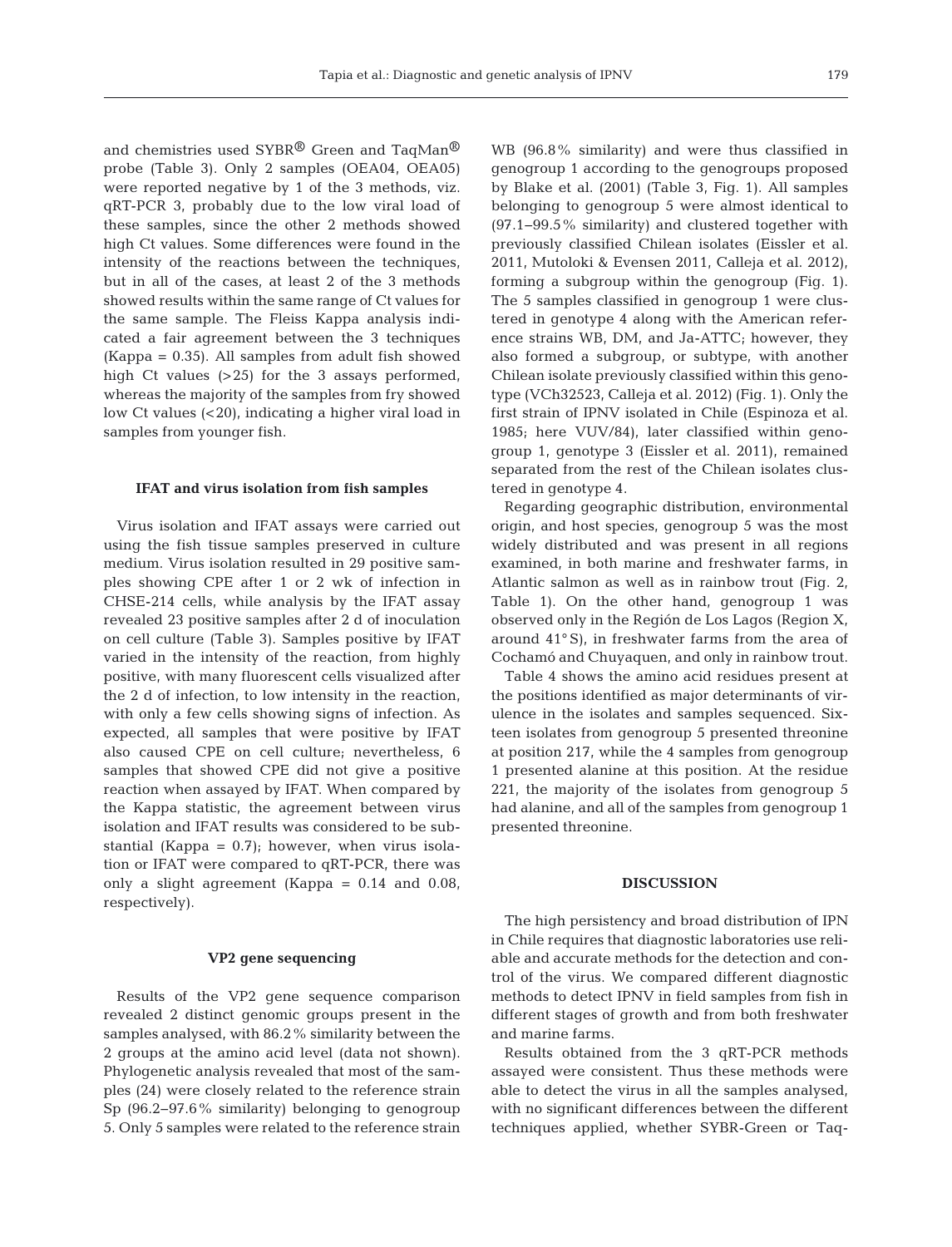and chemistries used SYBR<sup>®</sup> Green and TaqMan<sup>®</sup> probe (Table 3). Only 2 samples (OEA04, OEA05) were reported negative by 1 of the 3 methods, viz. qRT-PCR 3, probably due to the low viral load of these samples, since the other 2 methods showed high Ct values. Some differences were found in the intensity of the reactions between the techniques, but in all of the cases, at least 2 of the 3 methods showed results within the same range of Ct values for the same sample. The Fleiss Kappa analysis indicated a fair agreement between the 3 techniques (Kappa = 0.35). All samples from adult fish showed high Ct values (>25) for the 3 assays performed, whereas the majority of the samples from fry showed low Ct values (<20), indicating a higher viral load in samples from younger fish.

#### **IFAT and virus isolation from fish samples**

Virus isolation and IFAT assays were carried out using the fish tissue samples preserved in culture medium. Virus isolation resulted in 29 positive samples showing CPE after 1 or 2 wk of infection in CHSE-214 cells, while analysis by the IFAT assay revealed 23 positive samples after 2 d of inoculation on cell culture (Table 3). Samples positive by IFAT varied in the intensity of the reaction, from highly positive, with many fluorescent cells visualized after the 2 d of infection, to low intensity in the reaction, with only a few cells showing signs of infection. As expected, all samples that were positive by IFAT also caused CPE on cell culture; nevertheless, 6 samples that showed CPE did not give a positive reaction when assayed by IFAT. When compared by the Kappa statistic, the agreement between virus isolation and IFAT results was considered to be substantial (Kappa =  $0.7$ ); however, when virus isolation or IFAT were compared to qRT-PCR, there was only a slight agreement (Kappa = 0.14 and 0.08, respectively).

## **VP2 gene sequencing**

Results of the VP2 gene sequence comparison revealed 2 distinct genomic groups present in the samples analysed, with 86.2% similarity between the 2 groups at the amino acid level (data not shown). Phylogenetic analysis revealed that most of the samples (24) were closely related to the reference strain Sp (96.2−97.6% similarity) belonging to genogroup 5. Only 5 samples were related to the reference strain WB (96.8% similarity) and were thus classified in genogroup 1 according to the genogroups proposed by Blake et al. (2001) (Table 3, Fig. 1). All samples belonging to genogroup 5 were almost identical to (97.1−99.5% similarity) and clustered together with previously classified Chilean isolates (Eissler et al. 2011, Mutoloki & Evensen 2011, Calleja et al. 2012), forming a subgroup within the genogroup (Fig. 1). The 5 samples classified in genogroup 1 were clustered in genotype 4 along with the American reference strains WB, DM, and Ja-ATTC; however, they also formed a subgroup, or subtype, with another Chilean isolate previously classified within this genotype (VCh32523, Calleja et al. 2012) (Fig. 1). Only the first strain of IPNV isolated in Chile (Espinoza et al. 1985; here VUV/84), later classified within genogroup 1, genotype 3 (Eissler et al. 2011), remained separated from the rest of the Chilean isolates clustered in genotype 4.

Regarding geographic distribution, environmental origin, and host species, genogroup 5 was the most widely distributed and was present in all regions examined, in both marine and freshwater farms, in Atlantic salmon as well as in rainbow trout (Fig. 2, Table 1). On the other hand, genogroup 1 was observed only in the Región de Los Lagos (Region X, around 41° S), in freshwater farms from the area of Cochamó and Chuyaquen, and only in rainbow trout.

Table 4 shows the amino acid residues present at the positions identified as major determinants of virulence in the isolates and samples sequenced. Sixteen isolates from genogroup 5 presented threonine at position 217, while the 4 samples from genogroup 1 presented alanine at this position. At the residue 221, the majority of the isolates from genogroup 5 had alanine, and all of the samples from genogroup 1 presented threonine.

## **DISCUSSION**

The high persistency and broad distribution of IPN in Chile requires that diagnostic laboratories use reliable and accurate methods for the detection and control of the virus. We compared different diagnostic methods to detect IPNV in field samples from fish in different stages of growth and from both freshwater and marine farms.

Results obtained from the 3 qRT-PCR methods assayed were consistent. Thus these methods were able to detect the virus in all the samples analysed, with no significant differences between the different techniques applied, whether SYBR-Green or Taq-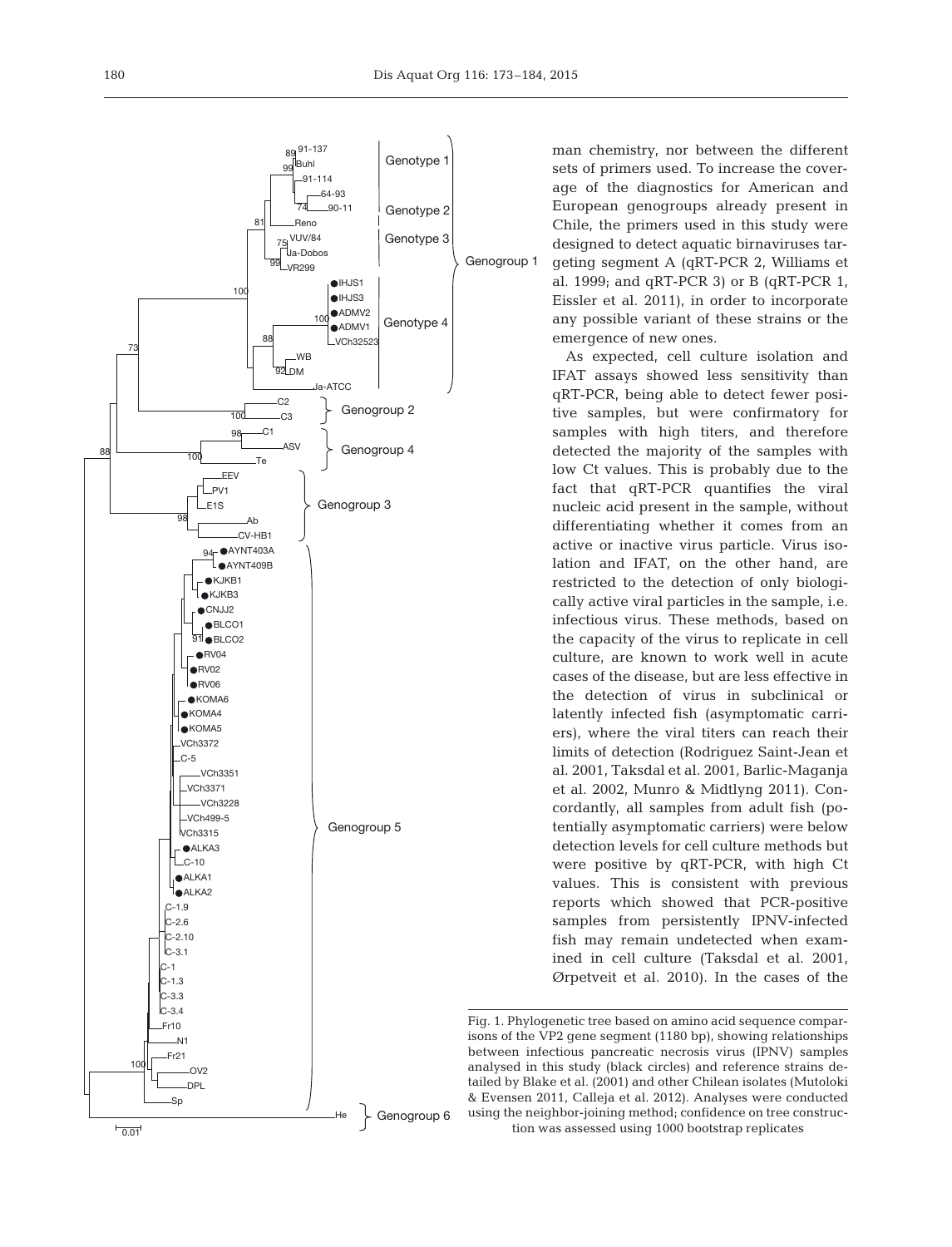

man chemistry, nor between the different sets of primers used. To increase the coverage of the diagnostics for American and European genogroups already present in Chile, the primers used in this study were designed to detect aquatic birnaviruses targeting segment A (qRT-PCR 2, Williams et al. 1999; and  $qRT-PCR$  3) or B  $(qRT-PCR$  1, Eissler et al. 2011), in order to incorporate any possible variant of these strains or the emergence of new ones.

As expected, cell culture isolation and IFAT assays showed less sensitivity than qRT-PCR, being able to detect fewer positive samples, but were confirmatory for samples with high titers, and therefore detected the majority of the samples with low Ct values. This is probably due to the fact that qRT-PCR quantifies the viral nucleic acid present in the sample, without differentiating whether it comes from an active or inactive virus particle. Virus isolation and IFAT, on the other hand, are restricted to the detection of only biologically active viral particles in the sample, i.e. infectious virus. These methods, based on the capacity of the virus to replicate in cell culture, are known to work well in acute cases of the disease, but are less effective in the detection of virus in subclinical or latently infected fish (asymptomatic carriers), where the viral titers can reach their limits of detection (Rodriguez Saint-Jean et al. 2001, Taksdal et al. 2001, Barlic-Maganja et al. 2002, Munro & Midtlyng 2011). Concordantly, all samples from adult fish (potentially asymptomatic carriers) were below detection levels for cell culture methods but were positive by qRT-PCR, with high Ct values. This is consistent with previous reports which showed that PCR-positive samples from persistently IPNV-infected fish may remain undetected when examined in cell culture (Taksdal et al. 2001, Ørpetveit et al. 2010). In the cases of the

Fig. 1. Phylogenetic tree based on amino acid sequence comparisons of the VP2 gene segment (1180 bp), showing relationships between infectious pancreatic necrosis virus (IPNV) samples analysed in this study (black circles) and reference strains detailed by Blake et al. (2001) and other Chilean isolates (Mutoloki & Evensen 2011, Calleja et al. 2012). Analyses were conducted using the neighbor-joining method; confidence on tree construction was assessed using 1000 bootstrap replicates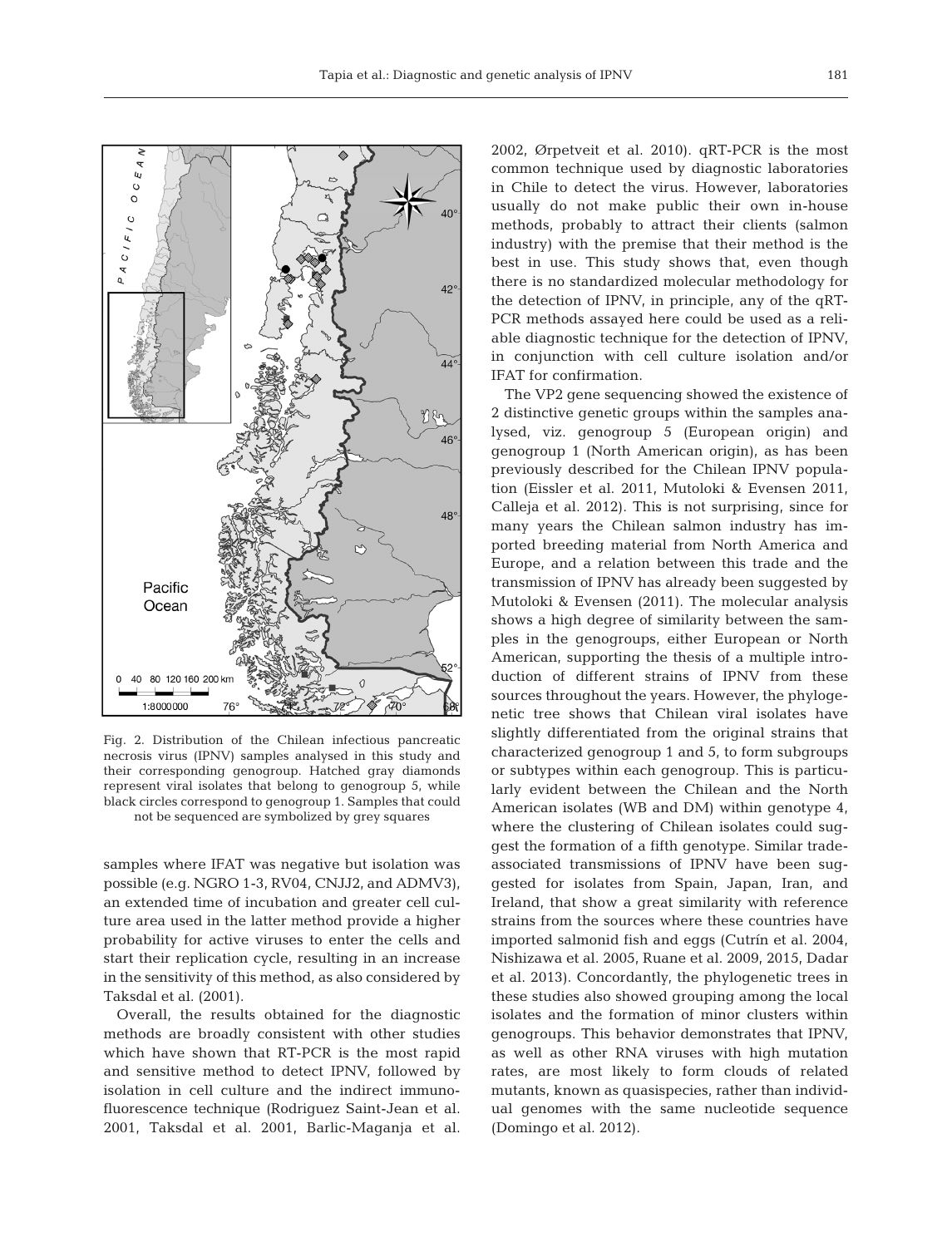

Fig. 2. Distribution of the Chilean infectious pancreatic necrosis virus (IPNV) samples analysed in this study and their corresponding genogroup. Hatched gray diamonds represent viral isolates that belong to genogroup 5, while black circles correspond to genogroup 1. Samples that could not be sequenced are symbolized by grey squares

samples where IFAT was negative but isolation was possible (e.g. NGRO 1-3, RV04, CNJJ2, and ADMV3), an extended time of incubation and greater cell culture area used in the latter method provide a higher probability for active viruses to enter the cells and start their replication cycle, resulting in an increase in the sensitivity of this method, as also considered by Taksdal et al. (2001).

Overall, the results obtained for the diagnostic methods are broadly consistent with other studies which have shown that RT-PCR is the most rapid and sensitive method to detect IPNV, followed by isolation in cell culture and the indirect immunofluorescence technique (Rodriguez Saint-Jean et al. 2001, Taksdal et al. 2001, Barlic-Maganja et al.

2002, Ørpetveit et al. 2010). qRT-PCR is the most common technique used by diagnostic laboratories in Chile to detect the virus. However, laboratories usually do not make public their own in-house methods, probably to attract their clients (salmon industry) with the premise that their method is the best in use. This study shows that, even though there is no standardized molecular methodology for the detection of IPNV, in principle, any of the qRT-PCR methods assayed here could be used as a reliable diagnostic technique for the detection of IPNV, in conjunction with cell culture isolation and/or IFAT for confirmation.

The VP2 gene sequencing showed the existence of 2 distinctive genetic groups within the samples analysed, viz. genogroup 5 (European origin) and genogroup 1 (North American origin), as has been previously described for the Chilean IPNV population (Eissler et al. 2011, Mutoloki & Evensen 2011, Calleja et al. 2012). This is not surprising, since for many years the Chilean salmon industry has imported breeding material from North America and Europe, and a relation between this trade and the transmission of IPNV has already been suggested by Mutoloki & Evensen (2011). The molecular analysis shows a high degree of similarity between the samples in the genogroups, either European or North American, supporting the thesis of a multiple introduction of different strains of IPNV from these sources throughout the years. However, the phylogenetic tree shows that Chilean viral isolates have slightly differentiated from the original strains that characterized genogroup 1 and 5, to form subgroups or subtypes within each genogroup. This is particularly evident between the Chilean and the North American isolates (WB and DM) within genotype 4, where the clustering of Chilean isolates could suggest the formation of a fifth genotype. Similar tradeassociated transmissions of IPNV have been suggested for isolates from Spain, Japan, Iran, and Ireland, that show a great similarity with reference strains from the sources where these countries have imported salmonid fish and eggs (Cutrín et al. 2004, Nishizawa et al. 2005, Ruane et al. 2009, 2015, Dadar et al. 2013). Concordantly, the phylogenetic trees in these studies also showed grouping among the local isolates and the formation of minor clusters within genogroups. This behavior demonstrates that IPNV, as well as other RNA viruses with high mutation rates, are most likely to form clouds of related mutants, known as quasispecies, rather than individual genomes with the same nucleotide sequence (Domingo et al. 2012).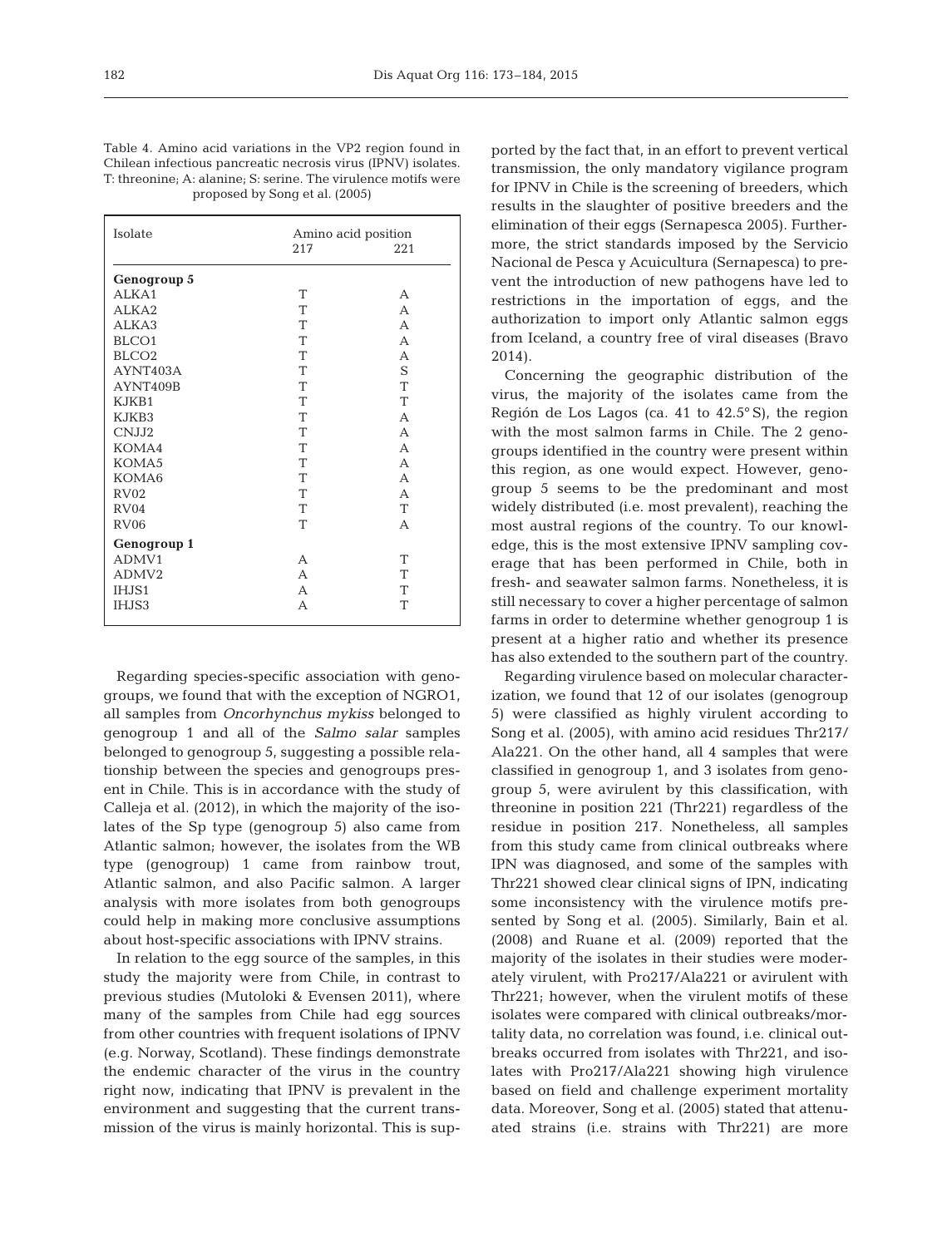| Table 4. Amino acid variations in the VP2 region found in      |
|----------------------------------------------------------------|
| Chilean infectious pancreatic necrosis virus (IPNV) isolates.  |
| T: threonine: A: alanine: S: serine. The virulence motifs were |
| proposed by Song et al. (2005)                                 |

| Isolate           |                | Amino acid position |  |  |
|-------------------|----------------|---------------------|--|--|
|                   | 217            | 221                 |  |  |
|                   |                |                     |  |  |
| Genogroup 5       |                |                     |  |  |
| ALKA1             | T              | А                   |  |  |
| ALKA2             | T              | A                   |  |  |
| ALKA3             | T              | A                   |  |  |
| BLCO1             | T              | A                   |  |  |
| BLCO <sub>2</sub> | T              | A                   |  |  |
| AYNT403A          | T              | S                   |  |  |
| AYNT409B          | T              | T                   |  |  |
| KJKB1             | T              | T                   |  |  |
| KJKB3             | T              | A                   |  |  |
| CNJJ2             | T              | A                   |  |  |
| KOMA4             | T              | A                   |  |  |
| KOMA5             | T              | A                   |  |  |
| KOMA6             | T              | A                   |  |  |
| RV02              | T              | A                   |  |  |
| RV <sub>04</sub>  | T              | T                   |  |  |
| <b>RV06</b>       | T              | A                   |  |  |
| Genogroup 1       |                |                     |  |  |
| ADMV1             | A              | T                   |  |  |
| ADMV2             | $\overline{A}$ | T                   |  |  |
| IHJS1             | $\Delta$       | T                   |  |  |
| IHJS3             | А              | T                   |  |  |
|                   |                |                     |  |  |

Regarding species-specific association with genogroups, we found that with the exception of NGRO1, all samples from *Oncorhynchus mykiss* belonged to genogroup 1 and all of the *Salmo salar* samples belonged to genogroup 5, suggesting a possible relationship between the species and genogroups present in Chile. This is in accordance with the study of Calleja et al. (2012), in which the majority of the isolates of the Sp type (genogroup 5) also came from Atlantic salmon; however, the isolates from the WB type (genogroup) 1 came from rainbow trout, Atlantic salmon, and also Pacific salmon. A larger analysis with more isolates from both genogroups could help in making more conclusive assumptions about host-specific associations with IPNV strains.

In relation to the egg source of the samples, in this study the majority were from Chile, in contrast to previous studies (Mutoloki & Evensen 2011), where many of the samples from Chile had egg sources from other countries with frequent isolations of IPNV (e.g. Norway, Scotland). These findings demonstrate the endemic character of the virus in the country right now, indicating that IPNV is prevalent in the environment and suggesting that the current transmission of the virus is mainly horizontal. This is sup-

ported by the fact that, in an effort to prevent vertical transmission, the only mandatory vigilance program for IPNV in Chile is the screening of breeders, which results in the slaughter of positive breeders and the elimination of their eggs (Sernapesca 2005). Furthermore, the strict standards imposed by the Servicio Nacional de Pesca y Acuicultura (Sernapesca) to prevent the introduction of new pathogens have led to restrictions in the importation of eggs, and the authorization to import only Atlantic salmon eggs from Iceland, a country free of viral diseases (Bravo 2014).

Concerning the geographic distribution of the virus, the majority of the isolates came from the Región de Los Lagos (ca. 41 to 42.5° S), the region with the most salmon farms in Chile. The 2 genogroups identified in the country were present within this region, as one would expect. However, genogroup 5 seems to be the predominant and most widely distributed (i.e. most prevalent), reaching the most austral regions of the country. To our knowledge, this is the most extensive IPNV sampling coverage that has been performed in Chile, both in fresh- and seawater salmon farms. Nonetheless, it is still necessary to cover a higher percentage of salmon farms in order to determine whether genogroup 1 is present at a higher ratio and whether its presence has also extended to the southern part of the country.

Regarding virulence based on molecular characterization, we found that 12 of our isolates (genogroup 5) were classified as highly virulent according to Song et al. (2005), with amino acid residues Thr217/ Ala221. On the other hand, all 4 samples that were classified in genogroup 1, and 3 isolates from geno group 5, were avirulent by this classification, with threonine in position 221 (Thr221) regardless of the residue in position 217. Nonetheless, all samples from this study came from clinical outbreaks where IPN was diagnosed, and some of the samples with Thr221 showed clear clinical signs of IPN, indicating some inconsistency with the virulence motifs presented by Song et al. (2005). Similarly, Bain et al. (2008) and Ruane et al. (2009) reported that the majority of the isolates in their studies were moderately virulent, with Pro217/Ala221 or avirulent with Thr221; however, when the virulent motifs of these isolates were compared with clinical outbreaks/mortality data, no correlation was found, i.e. clinical outbreaks occurred from isolates with Thr221, and isolates with Pro217/Ala221 showing high virulence based on field and challenge experiment mortality data. Moreover, Song et al. (2005) stated that attenuated strains (i.e. strains with Thr221) are more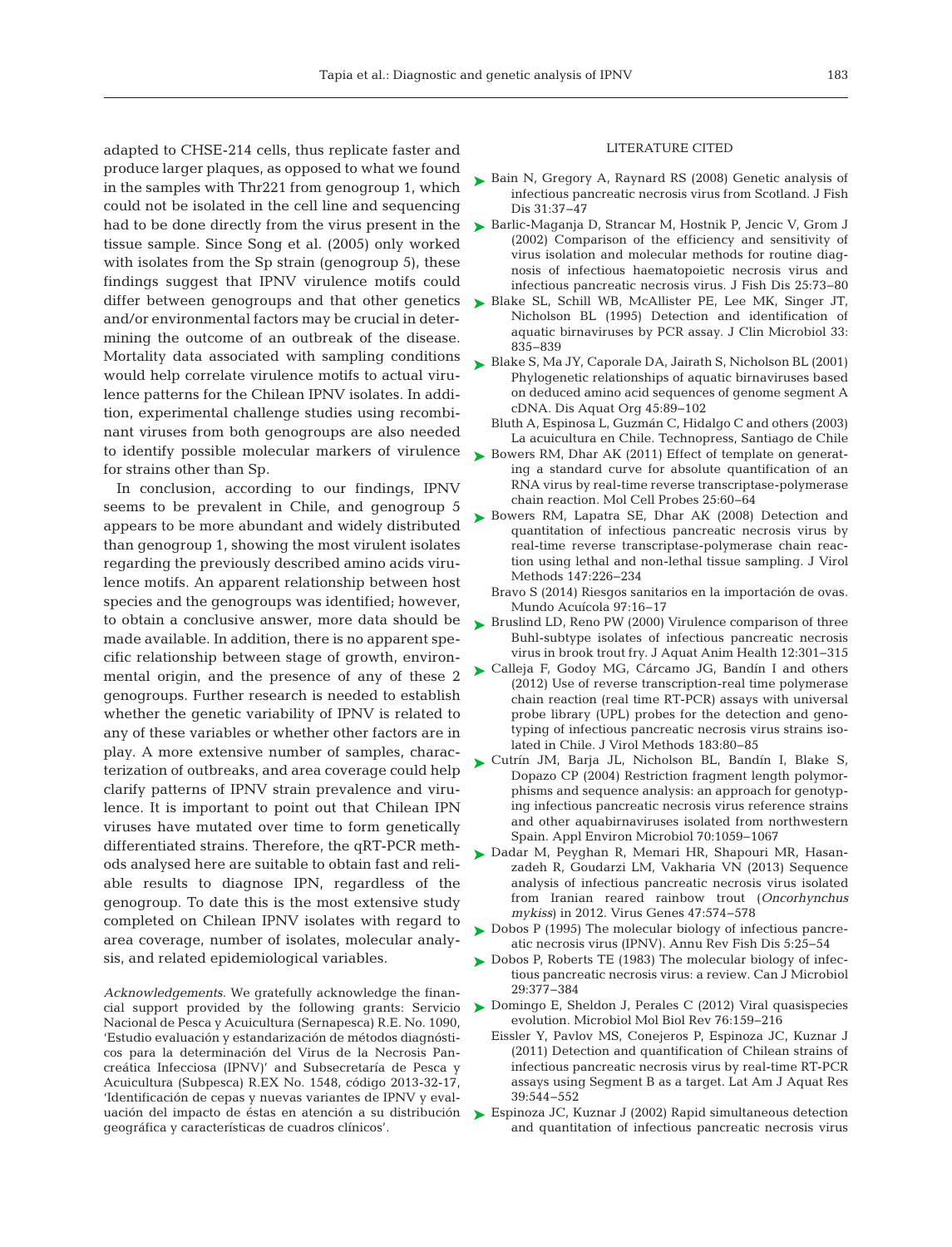adapted to CHSE-214 cells, thus replicate faster and produce larger plaques, as opposed to what we found in the samples with Thr221 from genogroup 1, which could not be isolated in the cell line and sequencing had to be done directly from the virus present in the tissue sample. Since Song et al. (2005) only worked with isolates from the Sp strain (genogroup 5), these findings suggest that IPNV virulence motifs could differ between genogroups and that other genetics > [Blake SL, Schill WB, McAllister PE, Lee MK, Singer JT,](http://www.ncbi.nlm.nih.gov/entrez/query.fcgi?cmd=Retrieve&db=PubMed&list_uids=7790447&dopt=Abstract) and/or environmental factors may be crucial in determining the outcome of an outbreak of the disease. Mortality data associated with sampling conditions would help correlate virulence motifs to actual virulence patterns for the Chilean IPNV isolates. In addition, experimental challenge studies using recombinant viruses from both genogroups are also needed to identify possible molecular markers of virulence for strains other than Sp.

In conclusion, according to our findings, IPNV seems to be prevalent in Chile, and genogroup 5 appears to be more abundant and widely distributed than genogroup 1, showing the most virulent isolates regarding the previously described amino acids virulence motifs. An apparent relationship between host species and the genogroups was identified; however, to obtain a conclusive answer, more data should be  $\quad$  [Bruslind LD, Reno PW \(2000\) Virulence comparison of three](http://dx.doi.org/10.1577/1548-8667(2000)012%3C0301%3AVCOTBS%3E2.0.CO%3B2) made available. In addition, there is no apparent specific relationship between stage of growth, environmental origin, and the presence of any of these 2 genogroups. Further research is needed to establish whether the genetic variability of IPNV is related to any of these variables or whether other factors are in play. A more extensive number of samples, characterization of outbreaks, and area coverage could help clarify patterns of IPNV strain prevalence and virulence. It is important to point out that Chilean IPN viruses have mutated over time to form genetically differentiated strains. Therefore, the qRT-PCR methods analysed here are suitable to obtain fast and reliable results to diagnose IPN, regardless of the genogroup. To date this is the most extensive study completed on Chilean IPNV isolates with regard to area coverage, number of isolates, molecular analysis, and related epidemiological variables.

*Acknowledgements*. We gratefully acknowledge the finan-Nacional de Pesca y Acuicultura (Sernapesca) R.E. No. 1090, 'Estudio evaluación y estandarización de métodos diagnósticos para la determinación del Virus de la Necrosis Pancreática Infecciosa (IPNV)' and Subsecretaría de Pesca y Acuicultura (Subpesca) R.EX No. 1548, código 2013-32-17, 'Identificación de cepas y nuevas variantes de IPNV y evaluación del impacto de éstas en atención a su distribución geográfica y características de cuadros clínicos'.

#### LITERATURE CITED

- ► [Bain N, Gregory A, Raynard RS \(2008\) Genetic analysis of](http://dx.doi.org/10.1111/j.1365-2761.2007.00864.x) infectious pancreatic necrosis virus from Scotland. J Fish Dis 31:37–47
- ► Barlic-Maganja D, Strancar M, Hostnik P, Jencic V, Grom (2002) Comparison of the efficiency and sensitivity of virus isolation and molecular methods for routine diagnosis of infectious haematopoietic necrosis virus and infectious pancreatic necrosis virus. J Fish Dis 25:73-80
- Nicholson BL (1995) Detection and identification of aquatic birnaviruses by PCR assay. J Clin Microbiol 33: 835−839
- [Blake S, Ma JY, Caporale DA, Jairath S, Nicholson BL \(2001\)](http://dx.doi.org/10.3354/dao045089) ➤ Phylogenetic relationships of aquatic birnaviruses based on deduced amino acid sequences of genome segment A cDNA. Dis Aquat Org 45: 89−102
	- Bluth A, Espinosa L, Guzmán C, Hidalgo C and others (2003) La acuicultura en Chile. Technopress, Santiago de Chile
- ▶ [Bowers RM, Dhar AK \(2011\) Effect of template on generat](http://dx.doi.org/10.1016/j.mcp.2010.12.002)ing a standard curve for absolute quantification of an RNA virus by real-time reverse transcriptase-polymerase chain reaction. Mol Cell Probes 25: 60−64
- ▶ [Bowers RM, Lapatra SE, Dhar AK \(2008\) Detection and](http://dx.doi.org/10.1016/j.jviromet.2007.09.003) quantitation of infectious pancreatic necrosis virus by real-time reverse transcriptase-polymerase chain reaction using lethal and non-lethal tissue sampling. J Virol Methods 147:226-234
	- Bravo S (2014) Riesgos sanitarios en la importación de ovas. Mundo Acuícola 97: 16−17
- Buhl-subtype isolates of infectious pancreatic necrosis virus in brook trout fry. J Aquat Anim Health 12: 301−315
- [Calleja F, Godoy MG, Cárcamo JG, Bandín I and others](http://dx.doi.org/10.1016/j.jviromet.2012.03.022) ➤ (2012) Use of reverse transcription-real time polymerase chain reaction (real time RT-PCR) assays with universal probe library (UPL) probes for the detection and genotyping of infectious pancreatic necrosis virus strains isolated in Chile. J Virol Methods 183:80-85
- ▶ [Cutrín JM, Barja JL, Nicholson BL, Bandín I, Blake S,](http://dx.doi.org/10.1128/AEM.70.2.1059-1067.2004) Dopazo CP (2004) Restriction fragment length polymorphisms and sequence analysis: an approach for genotyping infectious pancreatic necrosis virus reference strains and other aquabirnaviruses isolated from northwestern Spain. Appl Environ Microbiol 70: 1059−1067
- ▶ [Dadar M, Peyghan R, Memari HR, Shapouri MR, Hasan](http://dx.doi.org/10.1007/s11262-013-0981-4)zadeh R, Goudarzi LM, Vakharia VN (2013) Sequence analysis of infectious pancreatic necrosis virus isolated from Iranian reared rainbow trout (*Oncorhynchus mykiss*) in 2012. Virus Genes 47:574-578
- ► [Dobos P \(1995\) The molecular biology of infectious pancre](http://dx.doi.org/10.1016/0959-8030(95)00003-8)atic necrosis virus (IPNV). Annu Rev Fish Dis 5: 25−54
- ► [Dobos P, Roberts TE \(1983\) The molecular biology of infec](http://dx.doi.org/10.1139/m83-062)tious pancreatic necrosis virus: a review. Can J Microbiol 29: 377−384
- cial support provided by the following grants: Servicio [Domingo E, Sheldon J, Perales C \(2012\) Viral quasispecies](http://dx.doi.org/10.1128/MMBR.05023-11) ➤ evolution. Microbiol Mol Biol Rev 76: 159−216
	- Eissler Y, Pavlov MS, Conejeros P, Espinoza JC, Kuznar J (2011) Detection and quantification of Chilean strains of infectious pancreatic necrosis virus by real-time RT-PCR assays using Segment B as a target. Lat Am J Aquat Res 39: 544−552
	- ► [Espinoza JC, Kuznar J \(2002\) Rapid simultaneous detection](http://dx.doi.org/10.1016/S0166-0934(02)00083-6) and quantitation of infectious pancreatic necrosis virus